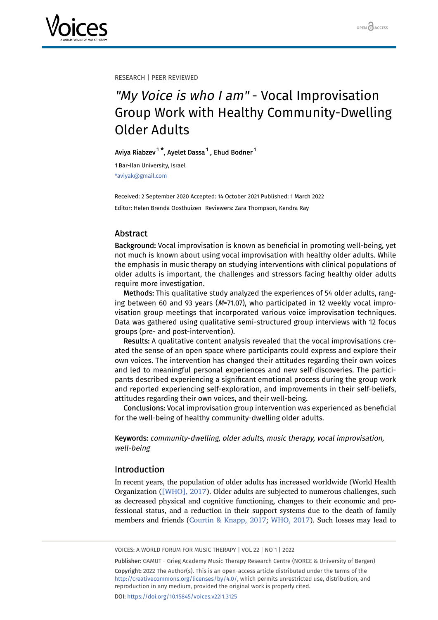

RESEARCH | PEER REVIEWED

# "My Voice is who I am" - Vocal Improvisation Group Work with Healthy Community-Dwelling Older Adults

Aviya Riabzev $^1$  $^1$ \*, Ayelet Dassa $^1$ , Ehud Bodner $^1$ 

<span id="page-0-0"></span>1 Bar-Ilan University, Israel \*aviyak@gmail.com

Received: 2 September 2020 Accepted: 14 October 2021 Published: 1 March 2022 Editor: Helen Brenda Oosthuizen Reviewers: Zara Thompson, Kendra Ray

# Abstract

Background: Vocal improvisation is known as beneficial in promoting well-being, yet not much is known about using vocal improvisation with healthy older adults. While the emphasis in music therapy on studying interventions with clinical populations of older adults is important, the challenges and stressors facing healthy older adults require more investigation.

Methods: This qualitative study analyzed the experiences of 54 older adults, ranging between 60 and 93 years (M=71.07), who participated in 12 weekly vocal improvisation group meetings that incorporated various voice improvisation techniques. Data was gathered using qualitative semi-structured group interviews with 12 focus groups (pre- and post-intervention).

Results: A qualitative content analysis revealed that the vocal improvisations created the sense of an open space where participants could express and explore their own voices. The intervention has changed their attitudes regarding their own voices and led to meaningful personal experiences and new self-discoveries. The participants described experiencing a significant emotional process during the group work and reported experiencing self-exploration, and improvements in their self-beliefs, attitudes regarding their own voices, and their well-being.

Conclusions: Vocal improvisation group intervention was experienced as beneficial for the well-being of healthy community-dwelling older adults.

Keywords: community-dwelling, older adults, music therapy, vocal improvisation, well-being

# Introduction

In recent years, the population of older adults has increased worldwide (World Health Organization ([\[WHO\], 2017\)](#page-14-0). Older adults are subjected to numerous challenges, such as decreased physical and cognitive functioning, changes to their economic and professional status, and a reduction in their support systems due to the death of family members and friends [\(Courtin & Knapp, 2017](#page-12-0); [WHO, 2017](#page-14-0)). Such losses may lead to

VOICES: A WORLD FORUM FOR MUSIC THERAPY | VOL 22 | NO 1 | 2022

Publisher: GAMUT - Grieg Academy Music Therapy Research Centre (NORCE & University of Bergen) Copyright: 2022 The Author(s). This is an open-access article distributed under the terms of the <http://creativecommons.org/licenses/by/4.0/>, which permits unrestricted use, distribution, and reproduction in any medium, provided the original work is properly cited. DOI: <https://doi.org/10.15845/voices.v22i1.3125>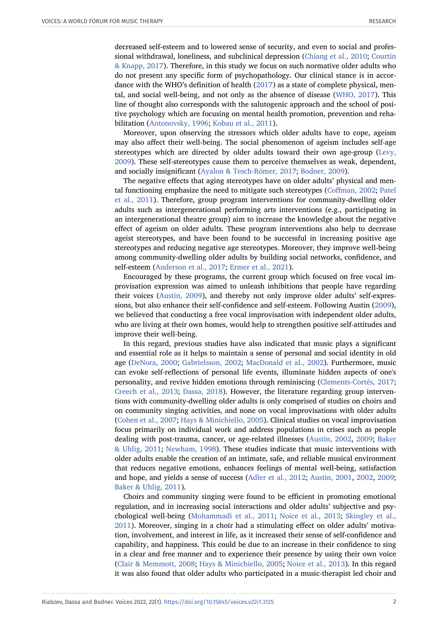decreased self-esteem and to lowered sense of security, and even to social and professional withdrawal, loneliness, and subclinical depression ([Chiang et al., 2010](#page-12-1); [Courtin](#page-12-0) [& Knapp, 2017](#page-12-0)). Therefore, in this study we focus on such normative older adults who do not present any specific form of psychopathology. Our clinical stance is in accordance with the WHO's definition of health [\(2017\)](#page-14-0) as a state of complete physical, mental, and social well-being, and not only as the absence of disease ([WHO, 2017\)](#page-14-0). This line of thought also corresponds with the salutogenic approach and the school of positive psychology which are focusing on mental health promotion, prevention and rehabilitation [\(Antonovsky, 1996;](#page-11-0) [Kobau et al., 2011\)](#page-13-0).

Moreover, upon observing the stressors which older adults have to cope, ageism may also affect their well-being. The social phenomenon of ageism includes self-age stereotypes which are directed by older adults toward their own age-group ([Levy,](#page-13-1) [2009](#page-13-1)). These self-stereotypes cause them to perceive themselves as weak, dependent, and socially insignificant ([Ayalon & Tesch-Römer, 2017](#page-11-1); [Bodner, 2009\)](#page-11-2).

The negative effects that aging stereotypes have on older adults' physical and mental functioning emphasize the need to mitigate such stereotypes ([Coffman, 2002;](#page-12-2) [Patel](#page-14-1) [et al., 2011\)](#page-14-1). Therefore, group program interventions for community-dwelling older adults such as intergenerational performing arts interventions (e.g., participating in an intergenerational theatre group) aim to increase the knowledge about the negative effect of ageism on older adults. These program interventions also help to decrease ageist stereotypes, and have been found to be successful in increasing positive age stereotypes and reducing negative age stereotypes. Moreover, they improve well-being among community-dwelling older adults by building social networks, confidence, and self-esteem [\(Anderson et al., 2017;](#page-11-3) [Ermer et al., 2021\)](#page-12-3).

Encouraged by these programs, the current group which focused on free vocal improvisation expression was aimed to unleash inhibitions that people have regarding their voices ([Austin, 2009\)](#page-11-4), and thereby not only improve older adults' self-expressions, but also enhance their self-confidence and self-esteem. Following Austin ([2009](#page-11-4)), we believed that conducting a free vocal improvisation with independent older adults, who are living at their own homes, would help to strengthen positive self-attitudes and improve their well-being.

In this regard, previous studies have also indicated that music plays a significant and essential role as it helps to maintain a sense of personal and social identity in old age ([DeNora, 2000](#page-12-4); [Gabrielsson, 2002](#page-12-5); [MacDonald et al., 2002](#page-13-2)). Furthermore, music can evoke self-reflections of personal life events, illuminate hidden aspects of one's personality, and revive hidden emotions through reminiscing ([Clements-Cortés, 2017;](#page-12-6) [Creech et al., 2013](#page-12-7); [Dassa, 2018\)](#page-12-8). However, the literature regarding group interventions with community-dwelling older adults is only comprised of studies on choirs and on community singing activities, and none on vocal improvisations with older adults ([Cohen et al., 2007](#page-12-9); [Hays & Minichiello, 2005](#page-12-10)). Clinical studies on vocal improvisation focus primarily on individual work and address populations in crises such as people dealing with post-trauma, cancer, or age-related illnesses [\(Austin, 2002,](#page-11-5) [2009;](#page-11-4) [Baker](#page-11-6) [& Uhlig, 2011](#page-11-6); [Newham, 1998\)](#page-13-3). These studies indicate that music interventions with older adults enable the creation of an intimate, safe, and reliable musical environment that reduces negative emotions, enhances feelings of mental well-being, satisfaction and hope, and yields a sense of success [\(Adler et al., 2012;](#page-11-7) [Austin, 2001,](#page-11-8) [2002](#page-11-5), [2009;](#page-11-4) [Baker & Uhlig, 2011](#page-11-6)).

Choirs and community singing were found to be efficient in promoting emotional regulation, and in increasing social interactions and older adults' subjective and psychological well-being ([Mohammadi et al., 2011](#page-13-4); [Noice et al., 2013](#page-13-5); [Skingley et al.,](#page-14-2) [2011](#page-14-2)). Moreover, singing in a choir had a stimulating effect on older adults' motivation, involvement, and interest in life, as it increased their sense of self-confidence and capability, and happiness. This could be due to an increase in their confidence to sing in a clear and free manner and to experience their presence by using their own voice ([Clair & Memmott, 2008](#page-12-11); [Hays & Minichiello, 2005](#page-12-10); [Noice et al., 2013](#page-13-5)). In this regard it was also found that older adults who participated in a music-therapist led choir and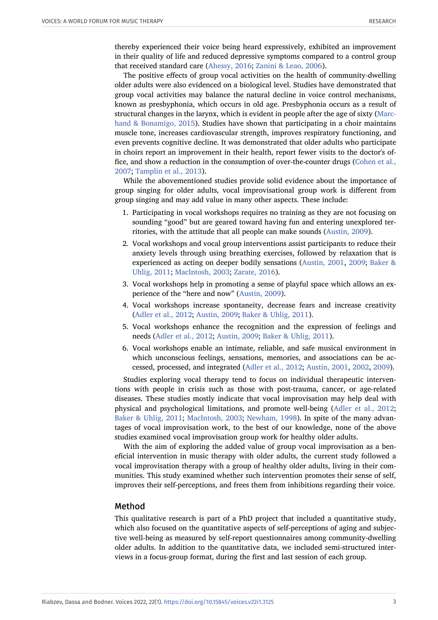thereby experienced their voice being heard expressively, exhibited an improvement in their quality of life and reduced depressive symptoms compared to a control group that received standard care [\(Ahessy, 2016](#page-11-9); [Zanini & Leao, 2006\)](#page-14-3).

The positive effects of group vocal activities on the health of community-dwelling older adults were also evidenced on a biological level. Studies have demonstrated that group vocal activities may balance the natural decline in voice control mechanisms, known as presbyphonia, which occurs in old age. Presbyphonia occurs as a result of structural changes in the larynx, which is evident in people after the age of sixty ([Marc](#page-13-6)[hand & Bonamigo, 2015](#page-13-6)). Studies have shown that participating in a choir maintains muscle tone, increases cardiovascular strength, improves respiratory functioning, and even prevents cognitive decline. It was demonstrated that older adults who participate in choirs report an improvement in their health, report fewer visits to the doctor's office, and show a reduction in the consumption of over-the-counter drugs ([Cohen et al.,](#page-12-9) [2007](#page-12-9); [Tamplin et al., 2013](#page-14-4)).

While the abovementioned studies provide solid evidence about the importance of group singing for older adults, vocal improvisational group work is different from group singing and may add value in many other aspects. These include:

- 1. Participating in vocal workshops requires no training as they are not focusing on sounding "good" but are geared toward having fun and entering unexplored territories, with the attitude that all people can make sounds ([Austin, 2009](#page-11-4)).
- 2. Vocal workshops and vocal group interventions assist participants to reduce their anxiety levels through using breathing exercises, followed by relaxation that is experienced as acting on deeper bodily sensations ([Austin, 2001](#page-11-8), [2009;](#page-11-4) [Baker &](#page-11-6) [Uhlig, 2011](#page-11-6); [MacIntosh, 2003](#page-13-7); [Zarate, 2016](#page-14-5)).
- 3. Vocal workshops help in promoting a sense of playful space which allows an experience of the "here and now" [\(Austin, 2009](#page-11-4)).
- 4. Vocal workshops increase spontaneity, decrease fears and increase creativity ([Adler et al., 2012](#page-11-7); [Austin, 2009;](#page-11-4) [Baker & Uhlig, 2011\)](#page-11-6).
- 5. Vocal workshops enhance the recognition and the expression of feelings and needs ([Adler et al., 2012](#page-11-7); [Austin, 2009;](#page-11-4) [Baker & Uhlig, 2011\)](#page-11-6).
- 6. Vocal workshops enable an intimate, reliable, and safe musical environment in which unconscious feelings, sensations, memories, and associations can be accessed, processed, and integrated ([Adler et al., 2012](#page-11-7); [Austin, 2001,](#page-11-8) [2002,](#page-11-5) [2009](#page-11-4)).

Studies exploring vocal therapy tend to focus on individual therapeutic interventions with people in crisis such as those with post-trauma, cancer, or age-related diseases. These studies mostly indicate that vocal improvisation may help deal with physical and psychological limitations, and promote well-being ([Adler et al., 2012;](#page-11-7) [Baker & Uhlig, 2011](#page-11-6); [MacIntosh, 2003](#page-13-7); [Newham, 1998\)](#page-13-3). In spite of the many advantages of vocal improvisation work, to the best of our knowledge, none of the above studies examined vocal improvisation group work for healthy older adults.

With the aim of exploring the added value of group vocal improvisation as a beneficial intervention in music therapy with older adults, the current study followed a vocal improvisation therapy with a group of healthy older adults, living in their communities. This study examined whether such intervention promotes their sense of self, improves their self-perceptions, and frees them from inhibitions regarding their voice.

#### Method

This qualitative research is part of a PhD project that included a quantitative study, which also focused on the quantitative aspects of self-perceptions of aging and subjective well-being as measured by self-report questionnaires among community-dwelling older adults. In addition to the quantitative data, we included semi-structured interviews in a focus-group format, during the first and last session of each group.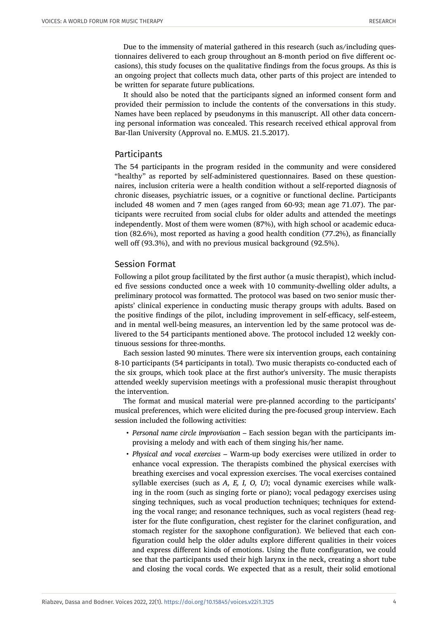Due to the immensity of material gathered in this research (such as/including questionnaires delivered to each group throughout an 8-month period on five different occasions), this study focuses on the qualitative findings from the focus groups. As this is an ongoing project that collects much data, other parts of this project are intended to be written for separate future publications.

It should also be noted that the participants signed an informed consent form and provided their permission to include the contents of the conversations in this study. Names have been replaced by pseudonyms in this manuscript. All other data concerning personal information was concealed. This research received ethical approval from Bar-Ilan University (Approval no. E.MUS. 21.5.2017).

## Participants

The 54 participants in the program resided in the community and were considered "healthy" as reported by self-administered questionnaires. Based on these questionnaires, inclusion criteria were a health condition without a self-reported diagnosis of chronic diseases, psychiatric issues, or a cognitive or functional decline. Participants included 48 women and 7 men (ages ranged from 60-93; mean age 71.07). The participants were recruited from social clubs for older adults and attended the meetings independently. Most of them were women (87%), with high school or academic education (82.6%), most reported as having a good health condition (77.2%), as financially well off (93.3%), and with no previous musical background (92.5%).

#### Session Format

Following a pilot group facilitated by the first author (a music therapist), which included five sessions conducted once a week with 10 community-dwelling older adults, a preliminary protocol was formatted. The protocol was based on two senior music therapists' clinical experience in conducting music therapy groups with adults. Based on the positive findings of the pilot, including improvement in self-efficacy, self-esteem, and in mental well-being measures, an intervention led by the same protocol was delivered to the 54 participants mentioned above. The protocol included 12 weekly continuous sessions for three-months.

Each session lasted 90 minutes. There were six intervention groups, each containing 8-10 participants (54 participants in total). Two music therapists co-conducted each of the six groups, which took place at the first author's university. The music therapists attended weekly supervision meetings with a professional music therapist throughout the intervention.

The format and musical material were pre-planned according to the participants' musical preferences, which were elicited during the pre-focused group interview. Each session included the following activities:

- *Personal name circle improvisation* Each session began with the participants improvising a melody and with each of them singing his/her name.
- *Physical and vocal exercises* Warm-up body exercises were utilized in order to enhance vocal expression. The therapists combined the physical exercises with breathing exercises and vocal expression exercises. The vocal exercises contained syllable exercises (such as *A, E, I, O, U*); vocal dynamic exercises while walking in the room (such as singing forte or piano); vocal pedagogy exercises using singing techniques, such as vocal production techniques; techniques for extending the vocal range; and resonance techniques, such as vocal registers (head register for the flute configuration, chest register for the clarinet configuration, and stomach register for the saxophone configuration). We believed that each configuration could help the older adults explore different qualities in their voices and express different kinds of emotions. Using the flute configuration, we could see that the participants used their high larynx in the neck, creating a short tube and closing the vocal cords. We expected that as a result, their solid emotional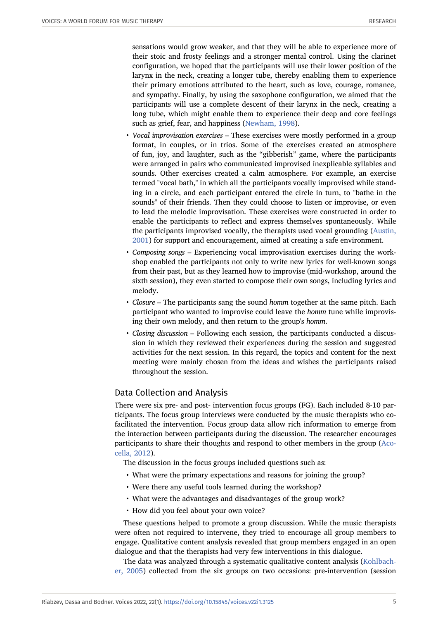sensations would grow weaker, and that they will be able to experience more of their stoic and frosty feelings and a stronger mental control. Using the clarinet configuration, we hoped that the participants will use their lower position of the larynx in the neck, creating a longer tube, thereby enabling them to experience their primary emotions attributed to the heart, such as love, courage, romance, and sympathy. Finally, by using the saxophone configuration, we aimed that the participants will use a complete descent of their larynx in the neck, creating a long tube, which might enable them to experience their deep and core feelings such as grief, fear, and happiness [\(Newham, 1998\)](#page-13-3).

- *Vocal improvisation exercises* These exercises were mostly performed in a group format, in couples, or in trios. Some of the exercises created an atmosphere of fun, joy, and laughter, such as the "gibberish" game, where the participants were arranged in pairs who communicated improvised inexplicable syllables and sounds. Other exercises created a calm atmosphere. For example, an exercise termed "vocal bath," in which all the participants vocally improvised while standing in a circle, and each participant entered the circle in turn, to "bathe in the sounds" of their friends. Then they could choose to listen or improvise, or even to lead the melodic improvisation. These exercises were constructed in order to enable the participants to reflect and express themselves spontaneously. While the participants improvised vocally, the therapists used vocal grounding [\(Austin,](#page-11-8) [2001](#page-11-8)) for support and encouragement, aimed at creating a safe environment.
- *Composing songs* Experiencing vocal improvisation exercises during the workshop enabled the participants not only to write new lyrics for well-known songs from their past, but as they learned how to improvise (mid-workshop, around the sixth session), they even started to compose their own songs, including lyrics and melody.
- *Closure* The participants sang the sound *homm* together at the same pitch. Each participant who wanted to improvise could leave the *homm* tune while improvising their own melody, and then return to the group's *homm*.
- *Closing discussion* Following each session, the participants conducted a discussion in which they reviewed their experiences during the session and suggested activities for the next session. In this regard, the topics and content for the next meeting were mainly chosen from the ideas and wishes the participants raised throughout the session.

# Data Collection and Analysis

There were six pre- and post- intervention focus groups (FG). Each included 8-10 participants. The focus group interviews were conducted by the music therapists who cofacilitated the intervention. Focus group data allow rich information to emerge from the interaction between participants during the discussion. The researcher encourages participants to share their thoughts and respond to other members in the group ([Aco](#page-11-10)[cella, 2012\)](#page-11-10).

The discussion in the focus groups included questions such as:

- What were the primary expectations and reasons for joining the group?
- Were there any useful tools learned during the workshop?
- What were the advantages and disadvantages of the group work?
- How did you feel about your own voice?

These questions helped to promote a group discussion. While the music therapists were often not required to intervene, they tried to encourage all group members to engage. Qualitative content analysis revealed that group members engaged in an open dialogue and that the therapists had very few interventions in this dialogue.

The data was analyzed through a systematic qualitative content analysis ([Kohlbach](#page-13-8)[er, 2005](#page-13-8)) collected from the six groups on two occasions: pre-intervention (session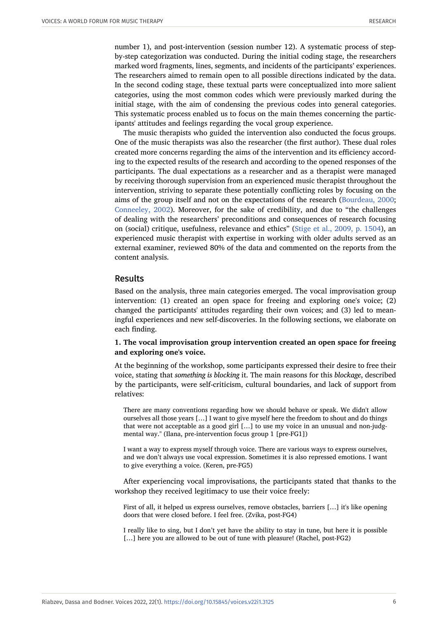number 1), and post-intervention (session number 12). A systematic process of stepby-step categorization was conducted. During the initial coding stage, the researchers marked word fragments, lines, segments, and incidents of the participants' experiences. The researchers aimed to remain open to all possible directions indicated by the data. In the second coding stage, these textual parts were conceptualized into more salient categories, using the most common codes which were previously marked during the initial stage, with the aim of condensing the previous codes into general categories. This systematic process enabled us to focus on the main themes concerning the participants' attitudes and feelings regarding the vocal group experience.

The music therapists who guided the intervention also conducted the focus groups. One of the music therapists was also the researcher (the first author). These dual roles created more concerns regarding the aims of the intervention and its efficiency according to the expected results of the research and according to the opened responses of the participants. The dual expectations as a researcher and as a therapist were managed by receiving thorough supervision from an experienced music therapist throughout the intervention, striving to separate these potentially conflicting roles by focusing on the aims of the group itself and not on the expectations of the research ([Bourdeau, 2000;](#page-12-12) [Conneeley, 2002](#page-12-13)). Moreover, for the sake of credibility, and due to "the challenges of dealing with the researchers' preconditions and consequences of research focusing on (social) critique, usefulness, relevance and ethics" ([Stige et al., 2009, p. 1504\)](#page-14-6), an experienced music therapist with expertise in working with older adults served as an external examiner, reviewed 80% of the data and commented on the reports from the content analysis.

#### Results

Based on the analysis, three main categories emerged. The vocal improvisation group intervention: (1) created an open space for freeing and exploring one's voice; (2) changed the participants' attitudes regarding their own voices; and (3) led to meaningful experiences and new self-discoveries. In the following sections, we elaborate on each finding.

#### **1. The vocal improvisation group intervention created an open space for freeing and exploring one's voice.**

At the beginning of the workshop, some participants expressed their desire to free their voice, stating that *something is blocking* it. The main reasons for this *blockage*, described by the participants, were self-criticism, cultural boundaries, and lack of support from relatives:

There are many conventions regarding how we should behave or speak. We didn't allow ourselves all those years […] I want to give myself here the freedom to shout and do things that were not acceptable as a good girl […] to use my voice in an unusual and non-judgmental way." (Ilana, pre-intervention focus group 1 [pre-FG1])

I want a way to express myself through voice. There are various ways to express ourselves, and we don't always use vocal expression. Sometimes it is also repressed emotions. I want to give everything a voice. (Keren, pre-FG5)

After experiencing vocal improvisations, the participants stated that thanks to the workshop they received legitimacy to use their voice freely:

First of all, it helped us express ourselves, remove obstacles, barriers […] it's like opening doors that were closed before. I feel free. (Zvika, post-FG4)

I really like to sing, but I don't yet have the ability to stay in tune, but here it is possible [...] here you are allowed to be out of tune with pleasure! (Rachel, post-FG2)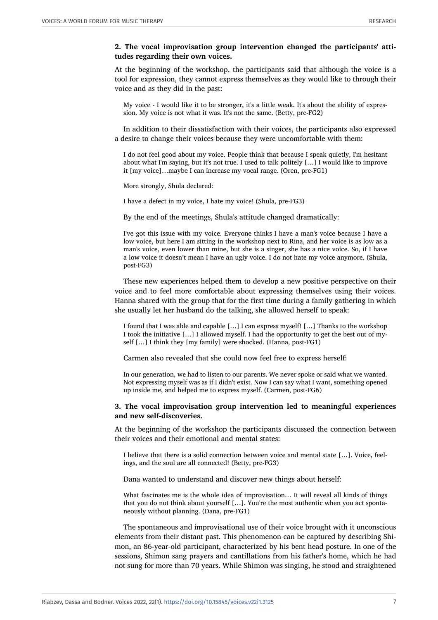#### **2. The vocal improvisation group intervention changed the participants' attitudes regarding their own voices.**

At the beginning of the workshop, the participants said that although the voice is a tool for expression, they cannot express themselves as they would like to through their voice and as they did in the past:

My voice - I would like it to be stronger, it's a little weak. It's about the ability of expression. My voice is not what it was. It's not the same. (Betty, pre-FG2)

In addition to their dissatisfaction with their voices, the participants also expressed a desire to change their voices because they were uncomfortable with them:

I do not feel good about my voice. People think that because I speak quietly, I'm hesitant about what I'm saying, but it's not true. I used to talk politely […] I would like to improve it [my voice]…maybe I can increase my vocal range. (Oren, pre-FG1)

More strongly, Shula declared:

I have a defect in my voice, I hate my voice! (Shula, pre-FG3)

By the end of the meetings, Shula's attitude changed dramatically:

I've got this issue with my voice. Everyone thinks I have a man's voice because I have a low voice, but here I am sitting in the workshop next to Rina, and her voice is as low as a man's voice, even lower than mine, but she is a singer, she has a nice voice. So, if I have a low voice it doesn't mean I have an ugly voice. I do not hate my voice anymore. (Shula, post-FG3)

These new experiences helped them to develop a new positive perspective on their voice and to feel more comfortable about expressing themselves using their voices. Hanna shared with the group that for the first time during a family gathering in which she usually let her husband do the talking, she allowed herself to speak:

I found that I was able and capable […] I can express myself! […] Thanks to the workshop I took the initiative […] I allowed myself. I had the opportunity to get the best out of myself […] I think they [my family] were shocked. (Hanna, post-FG1)

Carmen also revealed that she could now feel free to express herself:

In our generation, we had to listen to our parents. We never spoke or said what we wanted. Not expressing myself was as if I didn't exist. Now I can say what I want, something opened up inside me, and helped me to express myself. (Carmen, post-FG6)

#### **3. The vocal improvisation group intervention led to meaningful experiences and new self-discoveries.**

At the beginning of the workshop the participants discussed the connection between their voices and their emotional and mental states:

I believe that there is a solid connection between voice and mental state […]. Voice, feelings, and the soul are all connected! (Betty, pre-FG3)

Dana wanted to understand and discover new things about herself:

What fascinates me is the whole idea of improvisation… It will reveal all kinds of things that you do not think about yourself [...]. You're the most authentic when you act spontaneously without planning. (Dana, pre-FG1)

The spontaneous and improvisational use of their voice brought with it unconscious elements from their distant past. This phenomenon can be captured by describing Shimon, an 86-year-old participant, characterized by his bent head posture. In one of the sessions, Shimon sang prayers and cantillations from his father's home, which he had not sung for more than 70 years. While Shimon was singing, he stood and straightened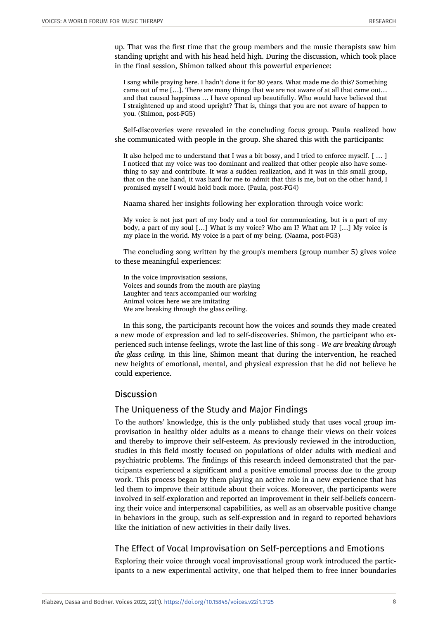up. That was the first time that the group members and the music therapists saw him standing upright and with his head held high. During the discussion, which took place in the final session, Shimon talked about this powerful experience:

I sang while praying here. I hadn't done it for 80 years. What made me do this? Something came out of me […]. There are many things that we are not aware of at all that came out… and that caused happiness … I have opened up beautifully. Who would have believed that I straightened up and stood upright? That is, things that you are not aware of happen to you. (Shimon, post-FG5)

Self-discoveries were revealed in the concluding focus group. Paula realized how she communicated with people in the group. She shared this with the participants:

It also helped me to understand that I was a bit bossy, and I tried to enforce myself. [ … ] I noticed that my voice was too dominant and realized that other people also have something to say and contribute. It was a sudden realization, and it was in this small group, that on the one hand, it was hard for me to admit that this is me, but on the other hand, I promised myself I would hold back more. (Paula, post-FG4)

Naama shared her insights following her exploration through voice work:

My voice is not just part of my body and a tool for communicating, but is a part of my body, a part of my soul […] What is my voice? Who am I? What am I? […] My voice is my place in the world. My voice is a part of my being. (Naama, post-FG3)

The concluding song written by the group's members (group number 5) gives voice to these meaningful experiences:

In the voice improvisation sessions, Voices and sounds from the mouth are playing Laughter and tears accompanied our working Animal voices here we are imitating We are breaking through the glass ceiling.

In this song, the participants recount how the voices and sounds they made created a new mode of expression and led to self-discoveries. Shimon, the participant who experienced such intense feelings, wrote the last line of this song - *We are breaking through the glass ceiling.* In this line, Shimon meant that during the intervention, he reached new heights of emotional, mental, and physical expression that he did not believe he could experience.

## **Discussion**

## The Uniqueness of the Study and Major Findings

To the authors' knowledge, this is the only published study that uses vocal group improvisation in healthy older adults as a means to change their views on their voices and thereby to improve their self-esteem. As previously reviewed in the introduction, studies in this field mostly focused on populations of older adults with medical and psychiatric problems. The findings of this research indeed demonstrated that the participants experienced a significant and a positive emotional process due to the group work. This process began by them playing an active role in a new experience that has led them to improve their attitude about their voices. Moreover, the participants were involved in self-exploration and reported an improvement in their self-beliefs concerning their voice and interpersonal capabilities, as well as an observable positive change in behaviors in the group, such as self-expression and in regard to reported behaviors like the initiation of new activities in their daily lives.

# The Effect of Vocal Improvisation on Self-perceptions and Emotions

Exploring their voice through vocal improvisational group work introduced the participants to a new experimental activity, one that helped them to free inner boundaries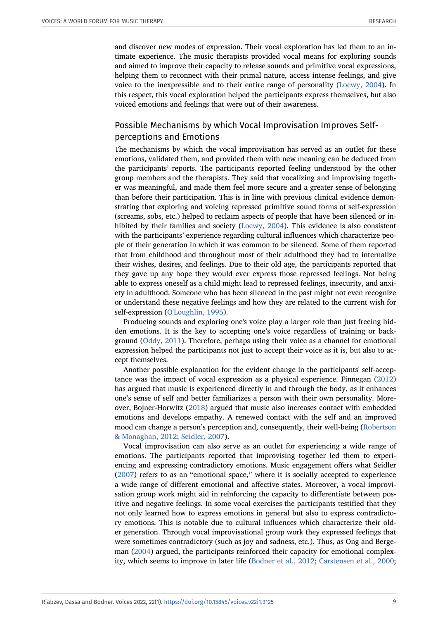and discover new modes of expression. Their vocal exploration has led them to an intimate experience. The music therapists provided vocal means for exploring sounds and aimed to improve their capacity to release sounds and primitive vocal expressions, helping them to reconnect with their primal nature, access intense feelings, and give voice to the inexpressible and to their entire range of personality [\(Loewy, 2004](#page-13-9)). In this respect, this vocal exploration helped the participants express themselves, but also voiced emotions and feelings that were out of their awareness.

# Possible Mechanisms by which Vocal Improvisation Improves Selfperceptions and Emotions

The mechanisms by which the vocal improvisation has served as an outlet for these emotions, validated them, and provided them with new meaning can be deduced from the participants' reports. The participants reported feeling understood by the other group members and the therapists. They said that vocalizing and improvising together was meaningful, and made them feel more secure and a greater sense of belonging than before their participation. This is in line with previous clinical evidence demonstrating that exploring and voicing repressed primitive sound forms of self-expression (screams, sobs, etc.) helped to reclaim aspects of people that have been silenced or inhibited by their families and society [\(Loewy, 2004](#page-13-9)). This evidence is also consistent with the participants' experience regarding cultural influences which characterize people of their generation in which it was common to be silenced. Some of them reported that from childhood and throughout most of their adulthood they had to internalize their wishes, desires, and feelings. Due to their old age, the participants reported that they gave up any hope they would ever express those repressed feelings. Not being able to express oneself as a child might lead to repressed feelings, insecurity, and anxiety in adulthood. Someone who has been silenced in the past might not even recognize or understand these negative feelings and how they are related to the current wish for self-expression [\(O'Loughlin, 1995\)](#page-13-10).

Producing sounds and exploring one's voice play a larger role than just freeing hidden emotions. It is the key to accepting one's voice regardless of training or background [\(Oddy, 2011\)](#page-13-11). Therefore, perhaps using their voice as a channel for emotional expression helped the participants not just to accept their voice as it is, but also to accept themselves.

Another possible explanation for the evident change in the participants' self-acceptance was the impact of vocal expression as a physical experience. Finnegan [\(2012\)](#page-12-14) has argued that music is experienced directly in and through the body, as it enhances one's sense of self and better familiarizes a person with their own personality. Moreover, Bojner-Horwitz [\(2018\)](#page-12-15) argued that music also increases contact with embedded emotions and develops empathy. A renewed contact with the self and an improved mood can change a person's perception and, consequently, their well-being ([Robertson](#page-14-7) [& Monaghan, 2012;](#page-14-7) [Seidler, 2007](#page-14-8)).

Vocal improvisation can also serve as an outlet for experiencing a wide range of emotions. The participants reported that improvising together led them to experiencing and expressing contradictory emotions. Music engagement offers what Seidler ([2007](#page-14-8)) refers to as an "emotional space," where it is socially accepted to experience a wide range of different emotional and affective states. Moreover, a vocal improvisation group work might aid in reinforcing the capacity to differentiate between positive and negative feelings. In some vocal exercises the participants testified that they not only learned how to express emotions in general but also to express contradictory emotions. This is notable due to cultural influences which characterize their older generation. Through vocal improvisational group work they expressed feelings that were sometimes contradictory (such as joy and sadness, etc.). Thus, as Ong and Bergeman [\(2004\)](#page-14-9) argued, the participants reinforced their capacity for emotional complexity, which seems to improve in later life ([Bodner et al., 2012;](#page-11-11) [Carstensen et al., 2000;](#page-12-16)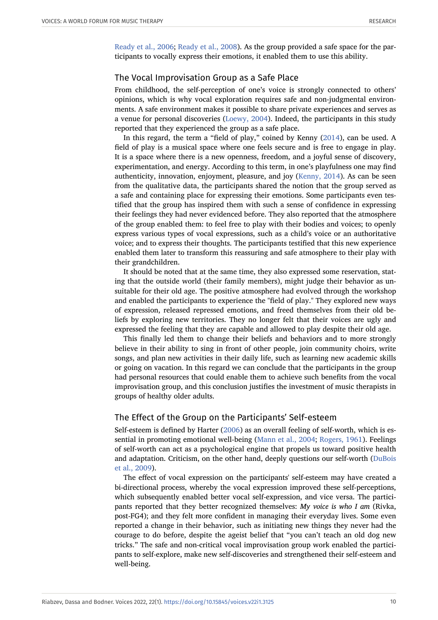[Ready et al., 2006](#page-14-10); [Ready et al., 2008](#page-14-11)). As the group provided a safe space for the participants to vocally express their emotions, it enabled them to use this ability.

## The Vocal Improvisation Group as a Safe Place

From childhood, the self-perception of one's voice is strongly connected to others' opinions, which is why vocal exploration requires safe and non-judgmental environments. A safe environment makes it possible to share private experiences and serves as a venue for personal discoveries ([Loewy, 2004](#page-13-9)). Indeed, the participants in this study reported that they experienced the group as a safe place.

In this regard, the term a "field of play," coined by Kenny [\(2014\)](#page-13-12), can be used. A field of play is a musical space where one feels secure and is free to engage in play. It is a space where there is a new openness, freedom, and a joyful sense of discovery, experimentation, and energy. According to this term, in one's playfulness one may find authenticity, innovation, enjoyment, pleasure, and joy ([Kenny, 2014\)](#page-13-12). As can be seen from the qualitative data, the participants shared the notion that the group served as a safe and containing place for expressing their emotions. Some participants even testified that the group has inspired them with such a sense of confidence in expressing their feelings they had never evidenced before. They also reported that the atmosphere of the group enabled them: to feel free to play with their bodies and voices; to openly express various types of vocal expressions, such as a child's voice or an authoritative voice; and to express their thoughts. The participants testified that this new experience enabled them later to transform this reassuring and safe atmosphere to their play with their grandchildren.

It should be noted that at the same time, they also expressed some reservation, stating that the outside world (their family members), might judge their behavior as unsuitable for their old age. The positive atmosphere had evolved through the workshop and enabled the participants to experience the "field of play." They explored new ways of expression, released repressed emotions, and freed themselves from their old beliefs by exploring new territories. They no longer felt that their voices are ugly and expressed the feeling that they are capable and allowed to play despite their old age.

This finally led them to change their beliefs and behaviors and to more strongly believe in their ability to sing in front of other people, join community choirs, write songs, and plan new activities in their daily life, such as learning new academic skills or going on vacation. In this regard we can conclude that the participants in the group had personal resources that could enable them to achieve such benefits from the vocal improvisation group, and this conclusion justifies the investment of music therapists in groups of healthy older adults.

## The Effect of the Group on the Participants' Self-esteem

Self-esteem is defined by Harter ([2006](#page-13-13)) as an overall feeling of self-worth, which is essential in promoting emotional well-being ([Mann et al., 2004;](#page-13-14) [Rogers, 1961\)](#page-14-12). Feelings of self-worth can act as a psychological engine that propels us toward positive health and adaptation. Criticism, on the other hand, deeply questions our self-worth [\(DuBois](#page-12-17) [et al., 2009](#page-12-17)).

The effect of vocal expression on the participants' self-esteem may have created a bi-directional process, whereby the vocal expression improved these self-perceptions, which subsequently enabled better vocal self-expression, and vice versa. The participants reported that they better recognized themselves: *My voice is who I am* (Rivka, post-FG4); and they felt more confident in managing their everyday lives. Some even reported a change in their behavior, such as initiating new things they never had the courage to do before, despite the ageist belief that "you can't teach an old dog new tricks." The safe and non-critical vocal improvisation group work enabled the participants to self-explore, make new self-discoveries and strengthened their self-esteem and well-being.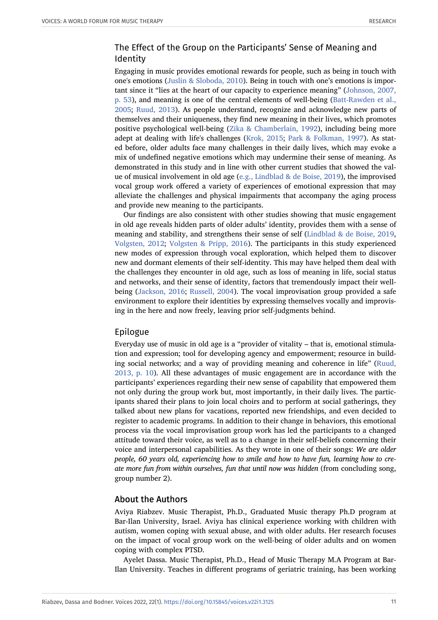# The Effect of the Group on the Participants' Sense of Meaning and Identity

Engaging in music provides emotional rewards for people, such as being in touch with one's emotions ([Juslin & Sloboda, 2010](#page-13-15)). Being in touch with one's emotions is important since it "lies at the heart of our capacity to experience meaning" ([Johnson, 2007,](#page-13-16) [p. 53](#page-13-16)), and meaning is one of the central elements of well-being ([Batt-Rawden et al.,](#page-11-12) [2005](#page-11-12); [Ruud, 2013](#page-14-13)). As people understand, recognize and acknowledge new parts of themselves and their uniqueness, they find new meaning in their lives, which promotes positive psychological well-being [\(Zika & Chamberlain, 1992\)](#page-14-14), including being more adept at dealing with life's challenges ([Krok, 2015](#page-13-17); [Park & Folkman, 1997](#page-14-15)). As stated before, older adults face many challenges in their daily lives, which may evoke a mix of undefined negative emotions which may undermine their sense of meaning. As demonstrated in this study and in line with other current studies that showed the value of musical involvement in old age [\(e.g., Lindblad & de Boise, 2019](#page-13-18)), the improvised vocal group work offered a variety of experiences of emotional expression that may alleviate the challenges and physical impairments that accompany the aging process and provide new meaning to the participants.

Our findings are also consistent with other studies showing that music engagement in old age reveals hidden parts of older adults' identity, provides them with a sense of meaning and stability, and strengthens their sense of self ([Lindblad & de Boise, 2019,](#page-13-18) [Volgsten, 2012](#page-14-16); [Volgsten & Pripp, 2016\)](#page-14-17). The participants in this study experienced new modes of expression through vocal exploration, which helped them to discover new and dormant elements of their self-identity. This may have helped them deal with the challenges they encounter in old age, such as loss of meaning in life, social status and networks, and their sense of identity, factors that tremendously impact their wellbeing ([Jackson, 2016;](#page-13-19) [Russell, 2004\)](#page-14-18). The vocal improvisation group provided a safe environment to explore their identities by expressing themselves vocally and improvising in the here and now freely, leaving prior self-judgments behind.

## Epilogue

Everyday use of music in old age is a "provider of vitality – that is, emotional stimulation and expression; tool for developing agency and empowerment; resource in building social networks; and a way of providing meaning and coherence in life" [\(Ruud,](#page-14-13) [2013, p. 10\)](#page-14-13). All these advantages of music engagement are in accordance with the participants' experiences regarding their new sense of capability that empowered them not only during the group work but, most importantly, in their daily lives. The participants shared their plans to join local choirs and to perform at social gatherings, they talked about new plans for vacations, reported new friendships, and even decided to register to academic programs. In addition to their change in behaviors, this emotional process via the vocal improvisation group work has led the participants to a changed attitude toward their voice, as well as to a change in their self-beliefs concerning their voice and interpersonal capabilities. As they wrote in one of their songs: *We are older people, 60 years old, experiencing how to smile and how to have fun, learning how to create more fun from within ourselves, fun that until now was hidden* (from concluding song, group number 2).

## About the Authors

Aviya Riabzev. Music Therapist, Ph.D., Graduated Music therapy Ph.D program at Bar-Ilan University, Israel. Aviya has clinical experience working with children with autism, women coping with sexual abuse, and with older adults. Her research focuses on the impact of vocal group work on the well-being of older adults and on women coping with complex PTSD.

Ayelet Dassa. Music Therapist, Ph.D., Head of Music Therapy M.A Program at Bar-Ilan University. Teaches in different programs of geriatric training, has been working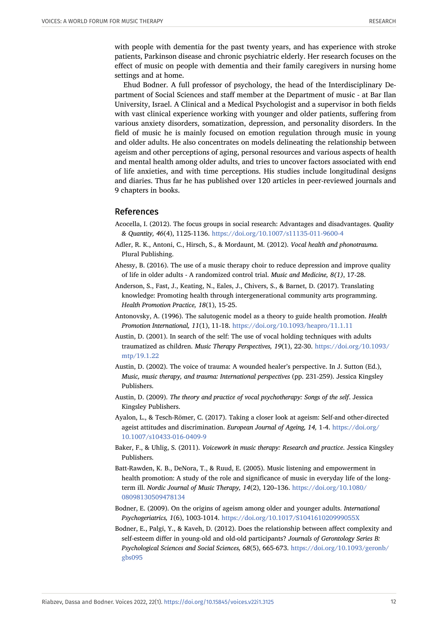with people with dementia for the past twenty years, and has experience with stroke patients, Parkinson disease and chronic psychiatric elderly. Her research focuses on the effect of music on people with dementia and their family caregivers in nursing home settings and at home.

Ehud Bodner. A full professor of psychology, the head of the Interdisciplinary Department of Social Sciences and staff member at the Department of music - at Bar Ilan University, Israel. A Clinical and a Medical Psychologist and a supervisor in both fields with vast clinical experience working with younger and older patients, suffering from various anxiety disorders, somatization, depression, and personality disorders. In the field of music he is mainly focused on emotion regulation through music in young and older adults. He also concentrates on models delineating the relationship between ageism and other perceptions of aging, personal resources and various aspects of health and mental health among older adults, and tries to uncover factors associated with end of life anxieties, and with time perceptions. His studies include longitudinal designs and diaries. Thus far he has published over 120 articles in peer-reviewed journals and 9 chapters in books.

#### References

- <span id="page-11-10"></span>Acocella, I. (2012). The focus groups in social research: Advantages and disadvantages. *Quality & Quantity, 46*(4), 1125-1136. <https://doi.org/10.1007/s11135-011-9600-4>
- <span id="page-11-7"></span>Adler, R. K., Antoni, C., Hirsch, S., & Mordaunt, M. (2012). *Vocal health and phonotrauma.* Plural Publishing.
- <span id="page-11-9"></span>Ahessy, B. (2016). The use of a music therapy choir to reduce depression and improve quality of life in older adults - A randomized control trial. *Music and Medicine, 8(1)*, 17-28.
- <span id="page-11-3"></span>Anderson, S., Fast, J., Keating, N., Eales, J., Chivers, S., & Barnet, D. (2017). Translating knowledge: Promoting health through intergenerational community arts programming. *Health Promotion Practice, 18*(1), 15-25.
- <span id="page-11-0"></span>Antonovsky, A. (1996). The salutogenic model as a theory to guide health promotion. *Health Promotion International, 11*(1), 11-18. <https://doi.org/10.1093/heapro/11.1.11>
- <span id="page-11-8"></span>Austin, D. (2001). In search of the self: The use of vocal holding techniques with adults traumatized as children. *Music Therapy Perspectives, 19*(1), 22-30. [https://doi.org/10.1093/](https://doi.org/10.1093/mtp/19.1.22) [mtp/19.1.22](https://doi.org/10.1093/mtp/19.1.22)
- <span id="page-11-5"></span>Austin, D. (2002). The voice of trauma: A wounded healer's perspective. In J. Sutton (Ed.), *Music, music therapy, and trauma: International perspectives* (pp. 231-259). Jessica Kingsley Publishers.
- <span id="page-11-4"></span>Austin, D. (2009). *The theory and practice of vocal psychotherapy: Songs of the self*. Jessica Kingsley Publishers.
- <span id="page-11-1"></span>Ayalon, L., & Tesch-Römer, C. (2017). Taking a closer look at ageism: Self-and other-directed ageist attitudes and discrimination. *European Journal of Ageing, 14,* 1-4. [https://doi.org/](https://doi.org/10.1007/s10433-016-0409-9) [10.1007/s10433-016-0409-9](https://doi.org/10.1007/s10433-016-0409-9)
- <span id="page-11-6"></span>Baker, F., & Uhlig, S. (2011). *Voicework in music therapy: Research and practice*. Jessica Kingsley Publishers.
- <span id="page-11-12"></span>Batt-Rawden, K. B., DeNora, T., & Ruud, E. (2005). Music listening and empowerment in health promotion: A study of the role and significance of music in everyday life of the longterm ill. *Nordic Journal of Music Therapy, 14*(2), 120–136. [https://doi.org/10.1080/](https://doi.org/10.1080/08098130509478134) [08098130509478134](https://doi.org/10.1080/08098130509478134)
- <span id="page-11-2"></span>Bodner, E. (2009). On the origins of ageism among older and younger adults. *International Psychogeriatrics, 1*(6), 1003-1014. <https://doi.org/10.1017/S104161020999055X>
- <span id="page-11-11"></span>Bodner, E., Palgi, Y., & Kaveh, D. (2012). Does the relationship between affect complexity and self-esteem differ in young-old and old-old participants? *Journals of Gerontology Series B: Psychological Sciences and Social Sciences, 68*(5), 665-673. [https://doi.org/10.1093/geronb/](https://doi.org/10.1093/geronb/gbs095) [gbs095](https://doi.org/10.1093/geronb/gbs095)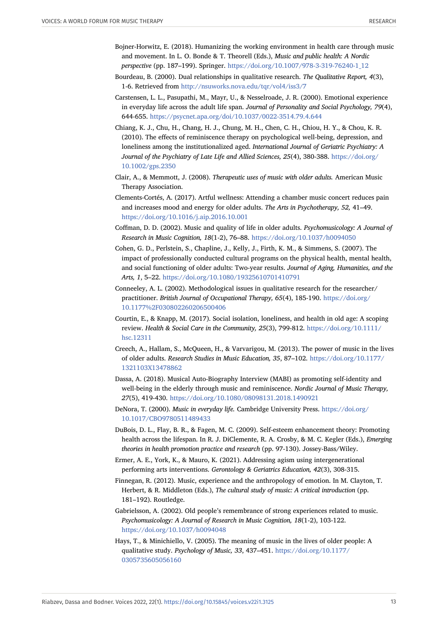- <span id="page-12-15"></span>Bojner-Horwitz, E. (2018). Humanizing the working environment in health care through music and movement. In L. O. Bonde & T. Theorell (Eds.), *Music and public health: A Nordic perspective* (pp. 187–199). Springer. [https://doi.org/10.1007/978-3-319-76240-1\\_12](https://doi.org/10.1007/978-3-319-76240-1_12)
- <span id="page-12-12"></span>Bourdeau, B. (2000). Dual relationships in qualitative research. *The Qualitative Report, 4*(3), 1-6. Retrieved from <http://nsuworks.nova.edu/tqr/vol4/iss3/7>
- <span id="page-12-16"></span>Carstensen, L. L., Pasupathi, M., Mayr, U., & Nesselroade, J. R. (2000). Emotional experience in everyday life across the adult life span. *Journal of Personality and Social Psychology, 79*(4), 644-655. <https://psycnet.apa.org/doi/10.1037/0022-3514.79.4.644>
- <span id="page-12-1"></span>Chiang, K. J., Chu, H., Chang, H. J., Chung, M. H., Chen, C. H., Chiou, H. Y., & Chou, K. R. (2010). The effects of reminiscence therapy on psychological well‐being, depression, and loneliness among the institutionalized aged. *International Journal of Geriatric Psychiatry: A Journal of the Psychiatry of Late Life and Allied Sciences, 25*(4), 380-388. [https://doi.org/](https://doi.org/10.1002/gps.2350) [10.1002/gps.2350](https://doi.org/10.1002/gps.2350)
- <span id="page-12-11"></span>Clair, A., & Memmott, J. (2008). *Therapeutic uses of music with older adults.* American Music Therapy Association.
- <span id="page-12-6"></span>Clements-Cortés, A. (2017). Artful wellness: Attending a chamber music concert reduces pain and increases mood and energy for older adults. *The Arts in Psychotherapy, 52,* 41–49. <https://doi.org/10.1016/j.aip.2016.10.001>
- <span id="page-12-2"></span>Coffman, D. D. (2002). Music and quality of life in older adults. *Psychomusicology: A Journal of Research in Music Cognition, 18*(1-2), 76–88. <https://doi.org/10.1037/h0094050>
- <span id="page-12-9"></span>Cohen, G. D., Perlstein, S., Chapline, J., Kelly, J., Firth, K. M., & Simmens, S. (2007). The impact of professionally conducted cultural programs on the physical health, mental health, and social functioning of older adults: Two-year results. *Journal of Aging, Humanities, and the Arts, 1*, 5–22. <https://doi.org/10.1080/19325610701410791>
- <span id="page-12-13"></span>Conneeley, A. L. (2002). Methodological issues in qualitative research for the researcher/ practitioner. *British Journal of Occupational Therapy, 65*(4), 185-190. [https://doi.org/](https://doi.org/10.1177%2F030802260206500406) [10.1177%2F030802260206500406](https://doi.org/10.1177%2F030802260206500406)
- <span id="page-12-0"></span>Courtin, E., & Knapp, M. (2017). Social isolation, loneliness, and health in old age: A scoping review. *Health & Social Care in the Community, 25*(3), 799-812. [https://doi.org/10.1111/](https://doi.org/10.1111/hsc.12311) [hsc.12311](https://doi.org/10.1111/hsc.12311)
- <span id="page-12-7"></span>Creech, A., Hallam, S., McQueen, H., & Varvarigou, M. (2013). The power of music in the lives of older adults. *Research Studies in Music Education, 35*, 87–102. [https://doi.org/10.1177/](https://doi.org/10.1177/1321103X13478862) [1321103X13478862](https://doi.org/10.1177/1321103X13478862)
- <span id="page-12-8"></span>Dassa, A. (2018). Musical Auto-Biography Interview (MABI) as promoting self-identity and well-being in the elderly through music and reminiscence. *Nordic Journal of Music Therapy, 27*(5), 419-430. <https://doi.org/10.1080/08098131.2018.1490921>
- <span id="page-12-4"></span>DeNora, T. (2000). *Music in everyday life.* Cambridge University Press. [https://doi.org/](https://doi.org/10.1017/CBO9780511489433) [10.1017/CBO9780511489433](https://doi.org/10.1017/CBO9780511489433)
- <span id="page-12-17"></span>DuBois, D. L., Flay, B. R., & Fagen, M. C. (2009). Self-esteem enhancement theory: Promoting health across the lifespan. In R. J. DiClemente, R. A. Crosby, & M. C. Kegler (Eds.), *Emerging theories in health promotion practice and research* (pp. 97-130). Jossey-Bass/Wiley.
- <span id="page-12-3"></span>Ermer, A. E., York, K., & Mauro, K. (2021). Addressing agism using intergenerational performing arts interventions. *Gerontology & Geriatrics Education, 42*(3), 308-315.
- <span id="page-12-14"></span>Finnegan, R. (2012). Music, experience and the anthropology of emotion. In M. Clayton, T. Herbert, & R. Middleton (Eds.), *The cultural study of music: A critical introduction* (pp. 181–192). Routledge.
- <span id="page-12-5"></span>Gabrielsson, A. (2002). Old people's remembrance of strong experiences related to music. *Psychomusicology: A Journal of Research in Music Cognition, 18*(1-2), 103-122. <https://doi.org/10.1037/h0094048>
- <span id="page-12-10"></span>Hays, T., & Minichiello, V. (2005). The meaning of music in the lives of older people: A qualitative study. *Psychology of Music, 33*, 437–451. [https://doi.org/10.1177/](https://doi.org/10.1177/0305735605056160) [0305735605056160](https://doi.org/10.1177/0305735605056160)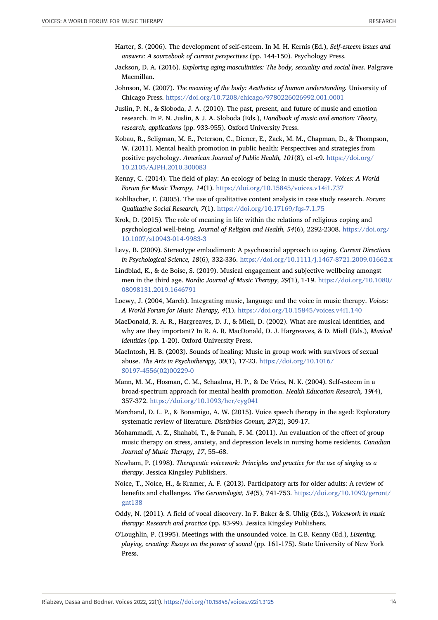- <span id="page-13-13"></span>Harter, S. (2006). The development of self-esteem. In M. H. Kernis (Ed.), *Self-esteem issues and answers: A sourcebook of current perspectives* (pp. 144-150). Psychology Press.
- <span id="page-13-19"></span>Jackson, D. A. (2016). *Exploring aging masculinities: The body, sexuality and social lives*. Palgrave Macmillan.
- <span id="page-13-16"></span>Johnson, M. (2007). *The meaning of the body: Aesthetics of human understanding.* University of Chicago Press. <https://doi.org/10.7208/chicago/9780226026992.001.0001>
- <span id="page-13-15"></span>Juslin, P. N., & Sloboda, J. A. (2010). The past, present, and future of music and emotion research. In P. N. Juslin, & J. A. Sloboda (Eds.), *Handbook of music and emotion: Theory, research, applications* (pp. 933-955). Oxford University Press.
- <span id="page-13-0"></span>Kobau, R., Seligman, M. E., Peterson, C., Diener, E., Zack, M. M., Chapman, D., & Thompson, W. (2011). Mental health promotion in public health: Perspectives and strategies from positive psychology. *American Journal of Public Health, 101*(8), e1-e9. [https://doi.org/](https://doi.org/10.2105/AJPH.2010.300083) [10.2105/AJPH.2010.300083](https://doi.org/10.2105/AJPH.2010.300083)
- <span id="page-13-12"></span>Kenny, C. (2014). The field of play: An ecology of being in music therapy. *Voices: A World Forum for Music Therapy, 14*(1). <https://doi.org/10.15845/voices.v14i1.737>
- <span id="page-13-8"></span>Kohlbacher, F. (2005). The use of qualitative content analysis in case study research. *Forum: Qualitative Social Research, 7*(1). <https://doi.org/10.17169/fqs-7.1.75>
- <span id="page-13-17"></span>Krok, D. (2015). The role of meaning in life within the relations of religious coping and psychological well-being. *Journal of Religion and Health, 54*(6), 2292-2308. [https://doi.org/](https://doi.org/10.1007/s10943-014-9983-3) [10.1007/s10943-014-9983-3](https://doi.org/10.1007/s10943-014-9983-3)
- <span id="page-13-1"></span>Levy, B. (2009). Stereotype embodiment: A psychosocial approach to aging. *Current Directions in Psychological Science, 18*(6), 332-336. <https://doi.org/10.1111/j.1467-8721.2009.01662.x>
- <span id="page-13-18"></span>Lindblad, K., & de Boise, S. (2019). Musical engagement and subjective wellbeing amongst men in the third age. *Nordic Journal of Music Therapy, 29*(1), 1-19. [https://doi.org/10.1080/](https://doi.org/10.1080/08098131.2019.1646791) [08098131.2019.1646791](https://doi.org/10.1080/08098131.2019.1646791)
- <span id="page-13-9"></span>Loewy, J. (2004, March). Integrating music, language and the voice in music therapy. *Voices: A World Forum for Music Therapy, 4*(1). <https://doi.org/10.15845/voices.v4i1.140>
- <span id="page-13-2"></span>MacDonald, R. A. R., Hargreaves, D. J., & Miell, D. (2002). What are musical identities, and why are they important? In R. A. R. MacDonald, D. J. Hargreaves, & D. Miell (Eds.), *Musical identities* (pp. 1-20). Oxford University Press.
- <span id="page-13-7"></span>MacIntosh, H. B. (2003). Sounds of healing: Music in group work with survivors of sexual abuse. *The Arts in Psychotherapy, 30*(1), 17-23. [https://doi.org/10.1016/](https://doi.org/10.1016/S0197-4556(02)00229-0) [S0197-4556\(02\)00229-0](https://doi.org/10.1016/S0197-4556(02)00229-0)
- <span id="page-13-14"></span>Mann, M. M., Hosman, C. M., Schaalma, H. P., & De Vries, N. K. (2004). Self-esteem in a broad-spectrum approach for mental health promotion. *Health Education Research, 19*(4), 357-372. <https://doi.org/10.1093/her/cyg041>
- <span id="page-13-6"></span>Marchand, D. L. P., & Bonamigo, A. W. (2015). Voice speech therapy in the aged: Exploratory systematic review of literature. *Distúrbios Comun, 27*(2), 309-17.
- <span id="page-13-4"></span>Mohammadi, A. Z., Shahabi, T., & Panah, F. M. (2011). An evaluation of the effect of group music therapy on stress, anxiety, and depression levels in nursing home residents. *Canadian Journal of Music Therapy, 17*, 55–68.
- <span id="page-13-3"></span>Newham, P. (1998). *Therapeutic voicework: Principles and practice for the use of singing as a therapy*. Jessica Kingsley Publishers.
- <span id="page-13-5"></span>Noice, T., Noice, H., & Kramer, A. F. (2013). Participatory arts for older adults: A review of benefits and challenges. *The Gerontologist, 54*(5), 741-753. [https://doi.org/10.1093/geront/](https://doi.org/10.1093/geront/gnt138) [gnt138](https://doi.org/10.1093/geront/gnt138)
- <span id="page-13-11"></span>Oddy, N. (2011). A field of vocal discovery. In F. Baker & S. Uhlig (Eds.), *Voicework in music therapy: Research and practice* (pp. 83-99). Jessica Kingsley Publishers.
- <span id="page-13-10"></span>O'Loughlin, P. (1995). Meetings with the unsounded voice. In C.B. Kenny (Ed.), *Listening, playing, creating: Essays on the power of sound* (pp. 161-175). State University of New York Press.